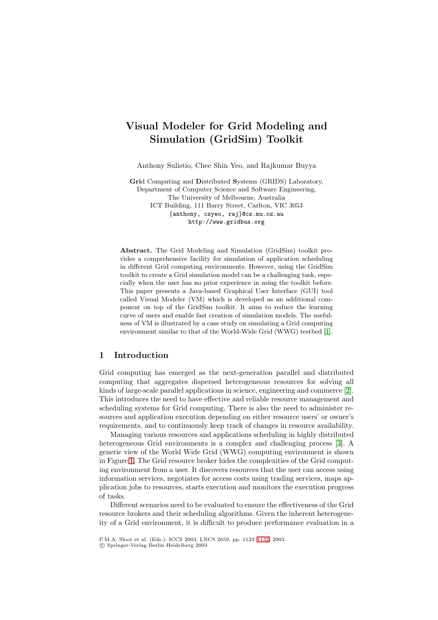# **Visual Modeler for Grid Modeling and Simulation (GridSim) Toolkit**

Anthony Sulistio, Chee Shin Yeo, and Rajkumar Buyya

**Gri**d Computing and **D**istributed **S**ystems (GRIDS) Laboratory, Department of Computer Science and Software Engineering, The University of Melbourne, Australia ICT Building, 111 Barry Street, Carlton, VIC 3053 {anthony, csyeo, raj}@cs.mu.oz.au http://www.gridbus.org

**Abstract.** The Grid Modeling and Simulation (GridSim) toolkit provides a comprehensive facility for simulation of application scheduling in different Grid computing environments. However, using the GridSim toolkit to create a Grid simulation model can be a challenging task, especially when the user has no prior experience in using the toolkit before. This paper presents a Java-based Graphical User Interface (GUI) tool called Visual Modeler (VM) which is developed as an additional component on top of the GridSim toolkit. It aims to reduce the learning curve of users and enable fast creation of simulation models. The usefulness of VM is illustrated by a case study on simulating a Grid computing environment similar to that of the World-Wide Grid (WWG) testbed [\[1\]](#page-9-0).

## **1 Introduction**

Grid computing has emerged as the next-generation parallel and distributed computing that aggregates dispersed heterogeneous resources for solving all kinds of large-scale parallel applications in science, engineering and commerce [\[2\]](#page-9-0). This introduces the need to have effective and reliable resource management and scheduling systems for Grid computing. There is also the need to administer resources and application execution depending on either resource users' or owner's requirements, and to continuously keep track of changes in resource availability.

Managing various resources and applications scheduling in highly distributed heterogeneous Grid environments is a complex and challenging process [\[3\]](#page-9-0). A generic view of the World Wide Grid (WWG) computing environment is shown in Figure [1.](#page-1-0) The Grid resource broker hides the complexities of the Grid computing environment from a user. It discovers resources that the user can access using information services, negotiates for access costs using trading services, maps application jobs to resources, starts execution and monitors the execution progress of tasks.

Different scenarios need to be evaluated to ensure the effectiveness of the Grid resource brokers and their scheduling algorithms. Given the inherent heterogeneity of a Grid environment, it is difficult to produce performance evaluation in a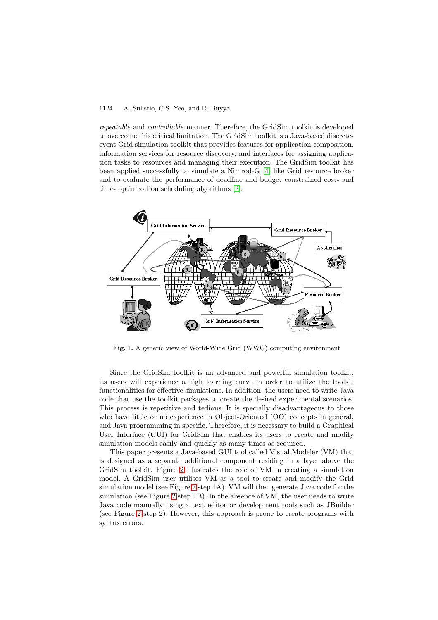<span id="page-1-0"></span>repeatable and controllable manner. Therefore, the GridSim toolkit is developed to overcome this critical limitation. The GridSim toolkit is a Java-based discreteevent Grid simulation toolkit that provides features for application composition, information services for resource discovery, and interfaces for assigning application tasks to resources and managing their execution. The GridSim toolkit has been applied successfully to simulate a Nimrod-G [\[4\]](#page-9-0) like Grid resource broker and to evaluate the performance of deadline and budget constrained cost- and time- optimization scheduling algorithms [\[3\]](#page-9-0).



**Fig. 1.** A generic view of World-Wide Grid (WWG) computing environment

Since the GridSim toolkit is an advanced and powerful simulation toolkit, its users will experience a high learning curve in order to utilize the toolkit functionalities for effective simulations. In addition, the users need to write Java code that use the toolkit packages to create the desired experimental scenarios. This process is repetitive and tedious. It is specially disadvantageous to those who have little or no experience in Object-Oriented (OO) concepts in general, and Java programming in specific. Therefore, it is necessary to build a Graphical User Interface (GUI) for GridSim that enables its users to create and modify simulation models easily and quickly as many times as required.

This paper presents a Java-based GUI tool called Visual Modeler (VM) that is designed as a separate additional component residing in a layer above the GridSim toolkit. Figure [2](#page-2-0) illustrates the role of VM in creating a simulation model. A GridSim user utilises VM as a tool to create and modify the Grid simulation model (see Figure [2](#page-2-0) step 1A). VM will then generate Java code for the simulation (see Figure [2](#page-2-0) step 1B). In the absence of VM, the user needs to write Java code manually using a text editor or development tools such as JBuilder (see Figure [2](#page-2-0) step 2). However, this approach is prone to create programs with syntax errors.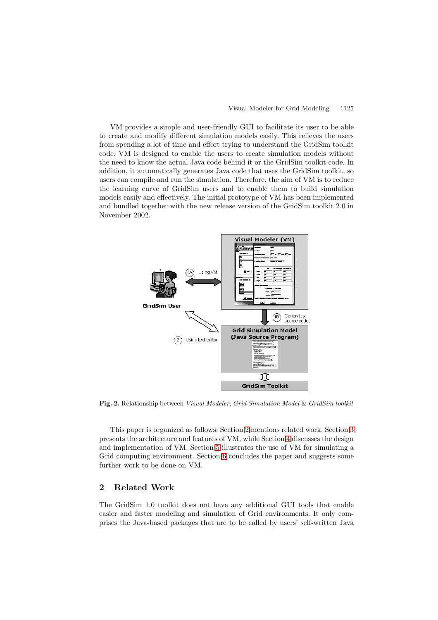<span id="page-2-0"></span>VM provides a simple and user-friendly GUI to facilitate its user to be able to create and modify different simulation models easily. This relieves the users from spending a lot of time and effort trying to understand the GridSim toolkit code. VM is designed to enable the users to create simulation models without the need to know the actual Java code behind it or the GridSim toolkit code. In addition, it automatically generates Java code that uses the GridSim toolkit, so users can compile and run the simulation. Therefore, the aim of VM is to reduce the learning curve of GridSim users and to enable them to build simulation models easily and effectively. The initial prototype of VM has been implemented and bundled together with the new release version of the GridSim toolkit 2.0 in November 2002.



**Fig. 2.** Relationship between Visual Modeler, Grid Simulation Model & GridSim toolkit

This paper is organized as follows: Section 2 mentions related work. Section [3](#page-3-0) presents the architecture and features of VM, while Section [4](#page-4-0) discusses the design and implementation of VM. Section [5](#page-6-0) illustrates the use of VM for simulating a Grid computing environment. Section [6](#page-8-0) concludes the paper and suggests some further work to be done on VM.

## **2 Related Work**

The GridSim 1.0 toolkit does not have any additional GUI tools that enable easier and faster modeling and simulation of Grid environments. It only comprises the Java-based packages that are to be called by users' self-written Java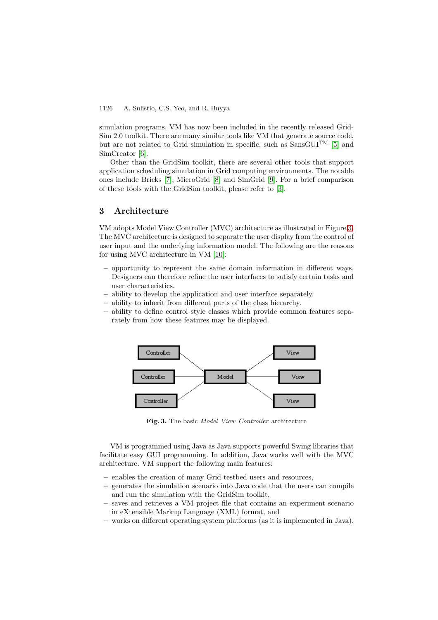<span id="page-3-0"></span>simulation programs. VM has now been included in the recently released Grid-Sim 2.0 toolkit. There are many similar tools like VM that generate source code, but are not related to Grid simulation in specific, such as  $\text{SansGUI}^{\text{TM}}$  [\[5\]](#page-9-0) and SimCreator [\[6\]](#page-9-0).

Other than the GridSim toolkit, there are several other tools that support application scheduling simulation in Grid computing environments. The notable ones include Bricks [\[7\]](#page-9-0), MicroGrid [\[8\]](#page-9-0) and SimGrid [\[9\]](#page-9-0). For a brief comparison of these tools with the GridSim toolkit, please refer to [\[3\]](#page-9-0).

# **3 Architecture**

VM adopts Model View Controller (MVC) architecture as illustrated in Figure 3. The MVC architecture is designed to separate the user display from the control of user input and the underlying information model. The following are the reasons for using MVC architecture in VM [\[10\]](#page-9-0):

- **–** opportunity to represent the same domain information in different ways. Designers can therefore refine the user interfaces to satisfy certain tasks and user characteristics.
- **–** ability to develop the application and user interface separately.
- **–** ability to inherit from different parts of the class hierarchy.
- **–** ability to define control style classes which provide common features separately from how these features may be displayed.



**Fig. 3.** The basic Model View Controller architecture

VM is programmed using Java as Java supports powerful Swing libraries that facilitate easy GUI programming. In addition, Java works well with the MVC architecture. VM support the following main features:

- **–** enables the creation of many Grid testbed users and resources,
- **–** generates the simulation scenario into Java code that the users can compile and run the simulation with the GridSim toolkit,
- **–** saves and retrieves a VM project file that contains an experiment scenario in eXtensible Markup Language (XML) format, and
- **–** works on different operating system platforms (as it is implemented in Java).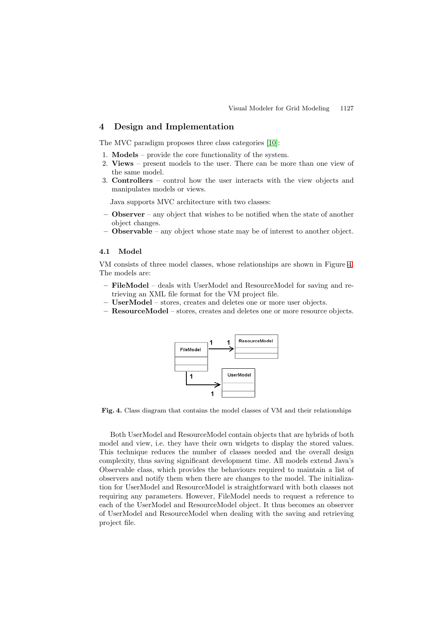## <span id="page-4-0"></span>**4Design and Implementation**

The MVC paradigm proposes three class categories [\[10\]](#page-9-0):

- 1. **Models** provide the core functionality of the system.
- 2. **Views** present models to the user. There can be more than one view of the same model.
- 3. **Controllers** control how the user interacts with the view objects and manipulates models or views.

Java supports MVC architecture with two classes:

- **Observer** any object that wishes to be notified when the state of another object changes.
- **Observable** any object whose state may be of interest to another object.

#### **4.1 Model**

VM consists of three model classes, whose relationships are shown in Figure 4. The models are:

- **FileModel** deals with UserModel and ResourceModel for saving and retrieving an XML file format for the VM project file.
- **UserModel** stores, creates and deletes one or more user objects.
- **ResourceModel** stores, creates and deletes one or more resource objects.



**Fig. 4.** Class diagram that contains the model classes of VM and their relationships

Both UserModel and ResourceModel contain objects that are hybrids of both model and view, i.e. they have their own widgets to display the stored values. This technique reduces the number of classes needed and the overall design complexity, thus saving significant development time. All models extend Java's Observable class, which provides the behaviours required to maintain a list of observers and notify them when there are changes to the model. The initialization for UserModel and ResourceModel is straightforward with both classes not requiring any parameters. However, FileModel needs to request a reference to each of the UserModel and ResourceModel object. It thus becomes an observer of UserModel and ResourceModel when dealing with the saving and retrieving project file.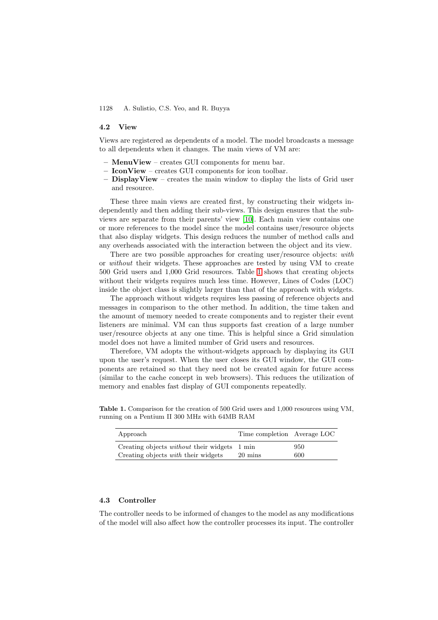## **4.2 View**

Views are registered as dependents of a model. The model broadcasts a message to all dependents when it changes. The main views of VM are:

- **MenuView** creates GUI components for menu bar.
- **IconView** creates GUI components for icon toolbar.
- **DisplayView** creates the main window to display the lists of Grid user and resource.

These three main views are created first, by constructing their widgets independently and then adding their sub-views. This design ensures that the subviews are separate from their parents' view [\[10\]](#page-9-0). Each main view contains one or more references to the model since the model contains user/resource objects that also display widgets. This design reduces the number of method calls and any overheads associated with the interaction between the object and its view.

There are two possible approaches for creating user/resource objects: with or without their widgets. These approaches are tested by using VM to create 500 Grid users and 1,000 Grid resources. Table 1 shows that creating objects without their widgets requires much less time. However, Lines of Codes (LOC) inside the object class is slightly larger than that of the approach with widgets.

The approach without widgets requires less passing of reference objects and messages in comparison to the other method. In addition, the time taken and the amount of memory needed to create components and to register their event listeners are minimal. VM can thus supports fast creation of a large number user/resource objects at any one time. This is helpful since a Grid simulation model does not have a limited number of Grid users and resources.

Therefore, VM adopts the without-widgets approach by displaying its GUI upon the user's request. When the user closes its GUI window, the GUI components are retained so that they need not be created again for future access (similar to the cache concept in web browsers). This reduces the utilization of memory and enables fast display of GUI components repeatedly.

**Table 1.** Comparison for the creation of 500 Grid users and 1,000 resources using VM, running on a Pentium II 300 MHz with 64MB RAM

| Creating objects <i>without</i> their widgets 1 min<br>Creating objects with their widgets<br>20 mins | 950<br>600 |
|-------------------------------------------------------------------------------------------------------|------------|

#### 4.3 Controller

The controller needs to be informed of changes to the model as any modifications of the model will also affect how the controller processes its input. The controller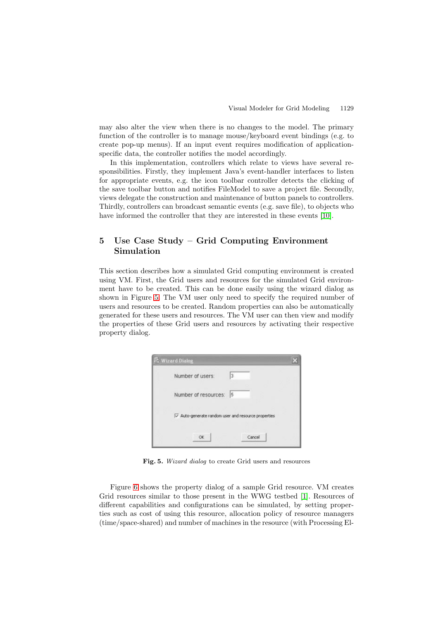<span id="page-6-0"></span>may also alter the view when there is no changes to the model. The primary function of the controller is to manage mouse/keyboard event bindings (e.g. to create pop-up menus). If an input event requires modification of applicationspecific data, the controller notifies the model accordingly.

In this implementation, controllers which relate to views have several responsibilities. Firstly, they implement Java's event-handler interfaces to listen for appropriate events, e.g. the icon toolbar controller detects the clicking of the save toolbar button and notifies FileModel to save a project file. Secondly, views delegate the construction and maintenance of button panels to controllers. Thirdly, controllers can broadcast semantic events (e.g. save file), to objects who have informed the controller that they are interested in these events [\[10\]](#page-9-0).

# **5 Use Case Study – Grid Computing Environment Simulation**

This section describes how a simulated Grid computing environment is created using VM. First, the Grid users and resources for the simulated Grid environment have to be created. This can be done easily using the wizard dialog as shown in Figure 5. The VM user only need to specify the required number of users and resources to be created. Random properties can also be automatically generated for these users and resources. The VM user can then view and modify the properties of these Grid users and resources by activating their respective property dialog.

| <b>Wizard Dialog</b>                              |        |
|---------------------------------------------------|--------|
| Number of users:                                  | 3      |
| Number of resources:                              | l5     |
| Auto-generate random user and resource properties |        |
| <b>OK</b>                                         | Cancel |

**Fig. 5.** Wizard dialog to create Grid users and resources

Figure [6](#page-7-0) shows the property dialog of a sample Grid resource. VM creates Grid resources similar to those present in the WWG testbed [\[1\]](#page-9-0). Resources of different capabilities and configurations can be simulated, by setting properties such as cost of using this resource, allocation policy of resource managers (time/space-shared) and number of machines in the resource (with Processing El-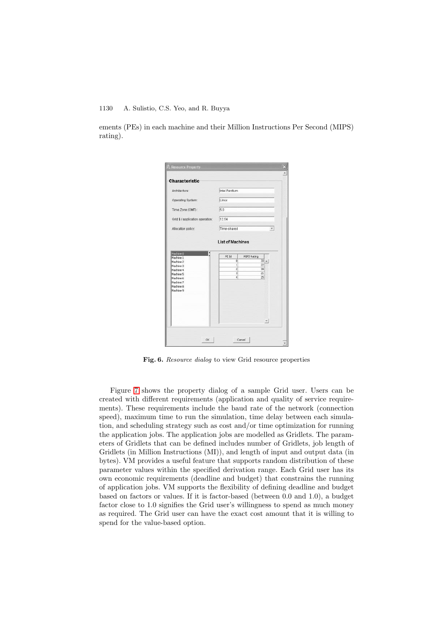<span id="page-7-0"></span>ements (PEs) in each machine and their Million Instructions Per Second (MIPS) rating).

| Architecture:                                                                                                 | Intel Pentium       |    |                           |
|---------------------------------------------------------------------------------------------------------------|---------------------|----|---------------------------|
| Operating System:                                                                                             | Linux               |    |                           |
| Time Zone (GMT):<br>Grid \$ / application operation:                                                          | 5.0<br>12.54        |    |                           |
|                                                                                                               |                     |    |                           |
| Machine 2                                                                                                     |                     |    |                           |
| Machine 1                                                                                                     | $\theta$            |    | $33 -$<br>$\overline{22}$ |
|                                                                                                               | ï<br>2              |    | 38                        |
|                                                                                                               | $\overline{3}$<br>4 | 21 |                           |
|                                                                                                               |                     |    | 25                        |
|                                                                                                               |                     |    |                           |
|                                                                                                               |                     |    |                           |
| Machine 3<br>Machine 4<br>Machine <sub>5</sub><br>Machine 6<br>Machine 7<br>Machine 8<br>Machine <sub>9</sub> |                     |    |                           |
|                                                                                                               |                     |    |                           |

Fig. 6. Resource dialog to view Grid resource properties

Figure [7](#page-8-0) shows the property dialog of a sample Grid user. Users can be created with different requirements (application and quality of service requirements). These requirements include the baud rate of the network (connection speed), maximum time to run the simulation, time delay between each simulation, and scheduling strategy such as cost and/or time optimization for running the application jobs. The application jobs are modelled as Gridlets. The parameters of Gridlets that can be defined includes number of Gridlets, job length of Gridlets (in Million Instructions (MI)), and length of input and output data (in bytes). VM provides a useful feature that supports random distribution of these parameter values within the specified derivation range. Each Grid user has its own economic requirements (deadline and budget) that constrains the running of application jobs. VM supports the flexibility of defining deadline and budget based on factors or values. If it is factor-based (between 0.0 and 1.0), a budget factor close to 1.0 signifies the Grid user's willingness to spend as much money as required. The Grid user can have the exact cost amount that it is willing to spend for the value-based option.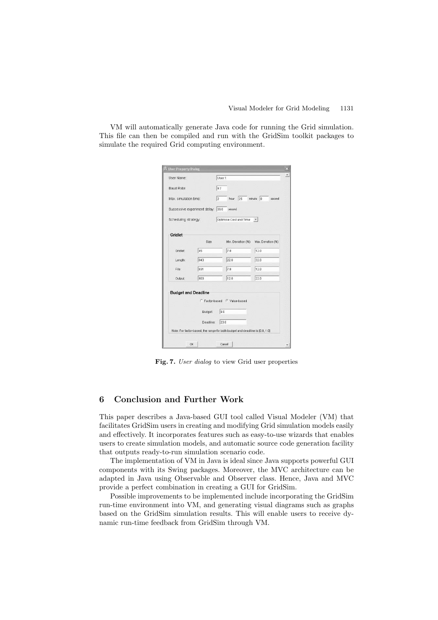<span id="page-8-0"></span>VM will automatically generate Java code for running the Grid simulation. This file can then be compiled and run with the GridSim toolkit packages to simulate the required Grid computing environment.

| User Name:                 |                                   | User 1                                                    |                                                                              |  |
|----------------------------|-----------------------------------|-----------------------------------------------------------|------------------------------------------------------------------------------|--|
| Baud Rate:                 |                                   | 9.7                                                       |                                                                              |  |
| Max. simulation time       |                                   | 25<br>2<br>hour                                           | $m$ inute $ 0\rangle$<br>second                                              |  |
|                            | Successive experiment delay: 36.0 | second                                                    |                                                                              |  |
| Scheduling strategy:       |                                   | Optimise Cost and Time $\left\Vert \mathbf{v}\right\Vert$ |                                                                              |  |
| Gridlet                    |                                   |                                                           |                                                                              |  |
|                            | Size                              | Min. Deviation (%)                                        | Max. Devation (%)                                                            |  |
| Gridlet                    | 45                                | 7.0                                                       | 12.0                                                                         |  |
| Length:                    | 643                               | 22.0                                                      | 32.0                                                                         |  |
| File:                      | 831                               | 7.0                                                       | 12.0                                                                         |  |
| Output:                    | 903                               | 12.0                                                      | 22.0                                                                         |  |
| <b>Budget and Deadline</b> |                                   | C Factor-based ( Value-based                              |                                                                              |  |
|                            | <b>Budget</b>                     | 9.0                                                       |                                                                              |  |
|                            | Deadline:                         | 23.0                                                      |                                                                              |  |
|                            |                                   |                                                           | Note: For factor-based, the range for both budget and deadline is [0.0, 1.0] |  |

**Fig. 7.** User dialog to view Grid user properties

#### **6 Conclusion and Further Work**

This paper describes a Java-based GUI tool called Visual Modeler (VM) that facilitates GridSim users in creating and modifying Grid simulation models easily and effectively. It incorporates features such as easy-to-use wizards that enables users to create simulation models, and automatic source code generation facility that outputs ready-to-run simulation scenario code.

The implementation of VM in Java is ideal since Java supports powerful GUI components with its Swing packages. Moreover, the MVC architecture can be adapted in Java using Observable and Observer class. Hence, Java and MVC provide a perfect combination in creating a GUI for GridSim.

Possible improvements to be implemented include incorporating the GridSim run-time environment into VM, and generating visual diagrams such as graphs based on the GridSim simulation results. This will enable users to receive dynamic run-time feedback from GridSim through VM.